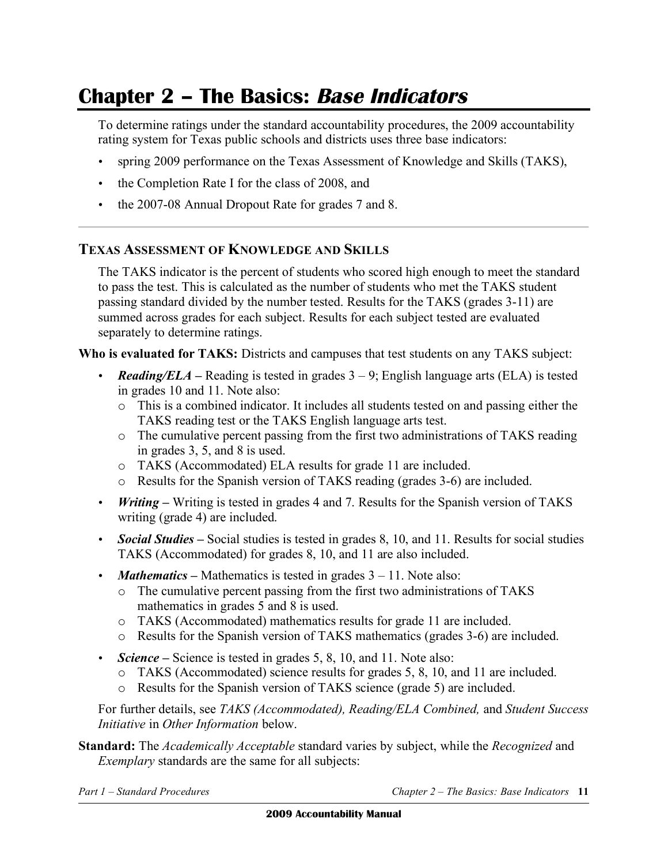# **Chapter 2 – The Basics: Base Indicators**

To determine ratings under the standard accountability procedures, the 2009 accountability rating system for Texas public schools and districts uses three base indicators:

- spring 2009 performance on the Texas Assessment of Knowledge and Skills (TAKS),
- the Completion Rate I for the class of 2008, and
- the 2007-08 Annual Dropout Rate for grades 7 and 8.

### **TEXAS ASSESSMENT OF KNOWLEDGE AND SKILLS**

The TAKS indicator is the percent of students who scored high enough to meet the standard to pass the test. This is calculated as the number of students who met the TAKS student passing standard divided by the number tested. Results for the TAKS (grades 3-11) are summed across grades for each subject. Results for each subject tested are evaluated separately to determine ratings.

**Who is evaluated for TAKS:** Districts and campuses that test students on any TAKS subject:

- **Reading/ELA** Reading is tested in grades  $3 9$ ; English language arts (ELA) is tested in grades 10 and 11. Note also:
	- o This is a combined indicator. It includes all students tested on and passing either the TAKS reading test or the TAKS English language arts test.
	- o The cumulative percent passing from the first two administrations of TAKS reading in grades  $3, 5$ , and  $8$  is used.
	- o TAKS (Accommodated) ELA results for grade 11 are included.
	- o Results for the Spanish version of TAKS reading (grades 3-6) are included.
- *Writing –* Writing is tested in grades 4 and 7. Results for the Spanish version of TAKS writing (grade 4) are included.
- *Social Studies* Social studies is tested in grades 8, 10, and 11. Results for social studies TAKS (Accommodated) for grades 8, 10, and 11 are also included.
- *Mathematics* Mathematics is tested in grades  $3 11$ . Note also:
	- $\circ$  The cumulative percent passing from the first two administrations of TAKS mathematics in grades 5 and 8 is used.
	- o TAKS (Accommodated) mathematics results for grade 11 are included.
	- o Results for the Spanish version of TAKS mathematics (grades 3-6) are included.
- *Science* Science is tested in grades 5, 8, 10, and 11. Note also:
	- o TAKS (Accommodated) science results for grades 5, 8, 10, and 11 are included.
	- o Results for the Spanish version of TAKS science (grade 5) are included.

For further details, see *TAKS (Accommodated), Reading/ELA Combined,* and *Student Success Initiative* in *Other Information* below.

**Standard:** The *Academically Acceptable* standard varies by subject, while the *Recognized* and *Exemplary* standards are the same for all subjects: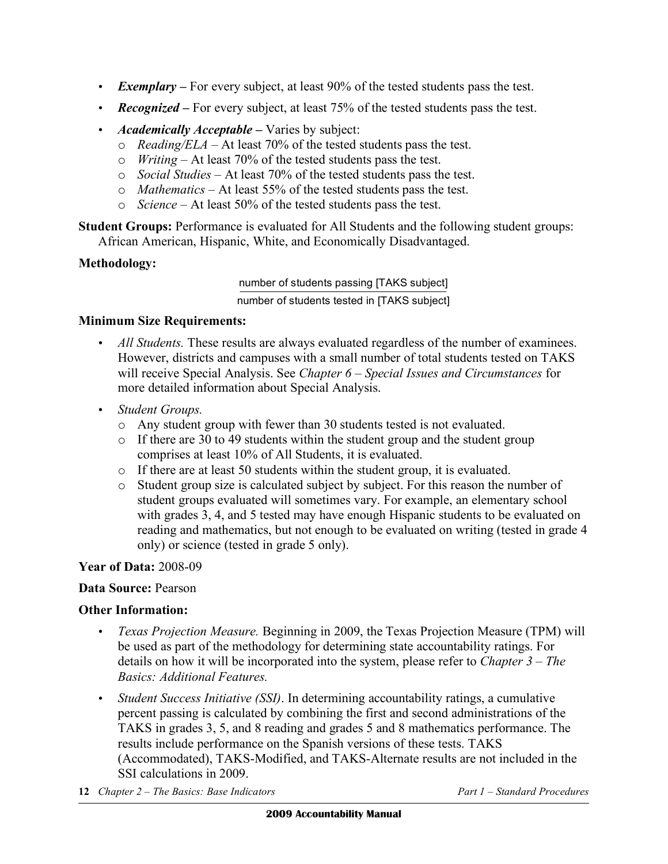- *Exemplary –* For every subject, at least 90% of the tested students pass the test.
- *Recognized* For every subject, at least 75% of the tested students pass the test.
- *Academically Acceptable Varies by subject:* 
	- $\circ$  *Reading/ELA* At least 70% of the tested students pass the test.
	- o *Writing* At least 70% of the tested students pass the test.
	- o *Social Studies* At least 70% of the tested students pass the test.
	- o *Mathematics* At least 55% of the tested students pass the test.
	- o *Science* At least 50% of the tested students pass the test.

**Student Groups:** Performance is evaluated for All Students and the following student groups: African American, Hispanic, White, and Economically Disadvantaged.

### **Methodology:**

number of students passing [TAKS subject]

number of students tested in [TAKS subject]

### **Minimum Size Requirements:**

- *All Students*. These results are always evaluated regardless of the number of examinees. However, districts and campuses with a small number of total students tested on TAKS will receive Special Analysis. See *Chapter 6 – Special Issues and Circumstances* for more detailed information about Special Analysis.
- • *Student Groups.* 
	- o Any student group with fewer than 30 students tested is not evaluated.
	- $\circ$  If there are 30 to 49 students within the student group and the student group comprises at least 10% of All Students, it is evaluated.
	- $\circ$  If there are at least 50 students within the student group, it is evaluated.
	- o Student group size is calculated subject by subject. For this reason the number of student groups evaluated will sometimes vary. For example, an elementary school with grades 3, 4, and 5 tested may have enough Hispanic students to be evaluated on reading and mathematics, but not enough to be evaluated on writing (tested in grade 4 only) or science (tested in grade 5 only).

### **Year of Data:** 2008-09

### **Data Source:** Pearson

### **Other Information:**

- *Texas Projection Measure.* Beginning in 2009, the Texas Projection Measure (TPM) will be used as part of the methodology for determining state accountability ratings. For details on how it will be incorporated into the system, please refer to *Chapter 3 – The Basics: Additional Features.*
- • *Student Success Initiative (SSI)*. In determining accountability ratings, a cumulative percent passing is calculated by combining the first and second administrations of the TAKS in grades 3, 5, and 8 reading and grades 5 and 8 mathematics performance. The results include performance on the Spanish versions of these tests. TAKS (Accommodated), TAKS-Modified, and TAKS-Alternate results are not included in the SSI calculations in 2009.
- **12** *Chapter 2 The Basics: Base Indicators Part 1 Standard Procedures*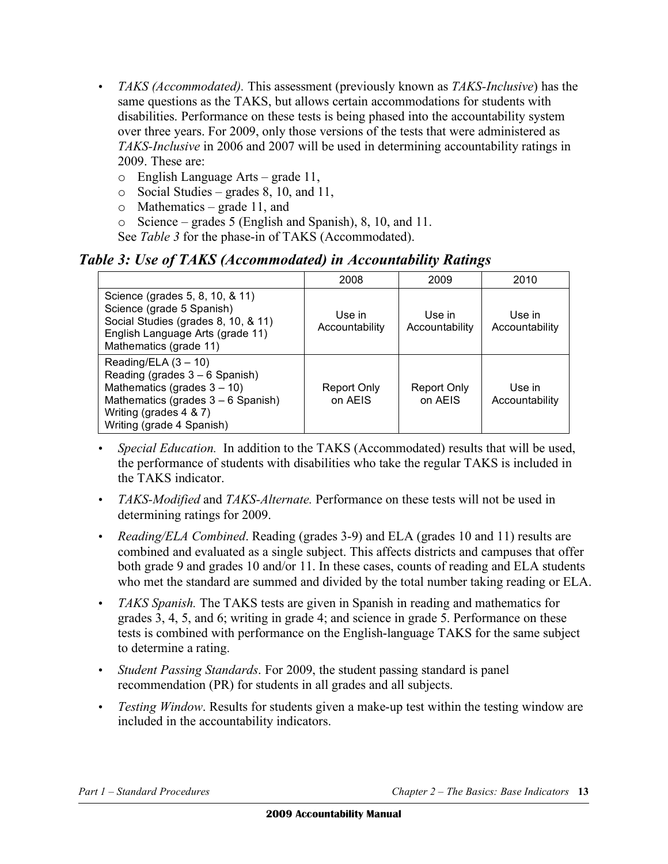- • *TAKS (Accommodated).* This assessment (previously known as *TAKS-Inclusive*) has the same questions as the TAKS, but allows certain accommodations for students with disabilities. Performance on these tests is being phased into the accountability system over three years. For 2009, only those versions of the tests that were administered as *TAKS-Inclusive* in 2006 and 2007 will be used in determining accountability ratings in 2009. These are:
	- o English Language Arts grade 11,
	- $\circ$  Social Studies grades 8, 10, and 11,
	- $\circ$  Mathematics grade 11, and
	- o Science grades 5 (English and Spanish), 8, 10, and 11.

See *Table 3* for the phase-in of TAKS (Accommodated).

### *Table 3: Use of TAKS (Accommodated) in Accountability Ratings*

|                                                                                                                                                                                             | 2008                     | 2009                     | 2010                     |
|---------------------------------------------------------------------------------------------------------------------------------------------------------------------------------------------|--------------------------|--------------------------|--------------------------|
| Science (grades 5, 8, 10, & 11)<br>Science (grade 5 Spanish)<br>Social Studies (grades 8, 10, & 11)<br>English Language Arts (grade 11)<br>Mathematics (grade 11)                           | Use in<br>Accountability | Use in<br>Accountability | Use in<br>Accountability |
| Reading/ELA $(3 - 10)$<br>Reading (grades $3 - 6$ Spanish)<br>Mathematics (grades $3 - 10$ )<br>Mathematics (grades $3 - 6$ Spanish)<br>Writing (grades 4 & 7)<br>Writing (grade 4 Spanish) | Report Only<br>on AEIS   | Report Only<br>on AEIS   | Use in<br>Accountability |

- *Special Education*. In addition to the TAKS (Accommodated) results that will be used, the performance of students with disabilities who take the regular TAKS is included in the TAKS indicator.
- • *TAKS-Modified* and *TAKS-Alternate.* Performance on these tests will not be used in determining ratings for 2009.
- • *Reading/ELA Combined*. Reading (grades 3-9) and ELA (grades 10 and 11) results are combined and evaluated as a single subject. This affects districts and campuses that offer both grade 9 and grades 10 and/or 11. In these cases, counts of reading and ELA students who met the standard are summed and divided by the total number taking reading or ELA.
- • *TAKS Spanish.* The TAKS tests are given in Spanish in reading and mathematics for grades 3, 4, 5, and 6; writing in grade 4; and science in grade 5. Performance on these tests is combined with performance on the English-language TAKS for the same subject to determine a rating.
- • *Student Passing Standards*. For 2009, the student passing standard is panel recommendation (PR) for students in all grades and all subjects.
- • *Testing Window*. Results for students given a make-up test within the testing window are included in the accountability indicators.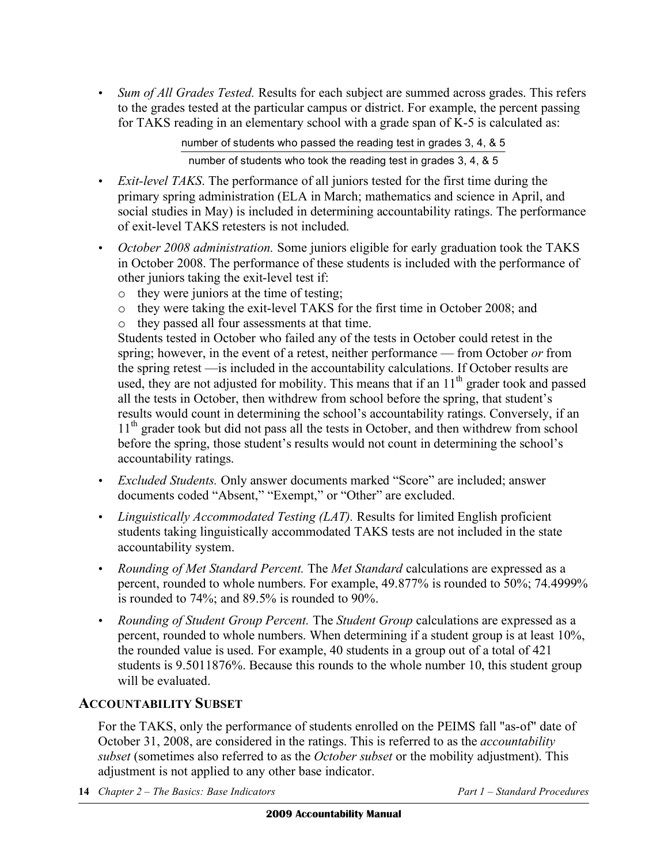• *Sum of All Grades Tested.* Results for each subject are summed across grades. This refers to the grades tested at the particular campus or district. For example, the percent passing for TAKS reading in an elementary school with a grade span of K-5 is calculated as:

> number of students who passed the reading test in grades 3, 4, & 5 number of students who took the reading test in grades 3, 4, & 5

- *Exit-level TAKS*. The performance of all juniors tested for the first time during the primary spring administration (ELA in March; mathematics and science in April, and social studies in May) is included in determining accountability ratings. The performance of exit-level TAKS retesters is not included.
- • *October 2008 administration.* Some juniors eligible for early graduation took the TAKS in October 2008. The performance of these students is included with the performance of other juniors taking the exit-level test if:
	- o they were juniors at the time of testing;
	- o they were taking the exit-level TAKS for the first time in October 2008; and
	- o they passed all four assessments at that time.

Students tested in October who failed any of the tests in October could retest in the spring; however, in the event of a retest, neither performance — from October *or* from the spring retest —is included in the accountability calculations. If October results are used, they are not adjusted for mobility. This means that if an  $11<sup>th</sup>$  grader took and passed all the tests in October, then withdrew from school before the spring, that student's results would count in determining the school's accountability ratings. Conversely, if an 11<sup>th</sup> grader took but did not pass all the tests in October, and then withdrew from school before the spring, those student's results would not count in determining the school's accountability ratings.

- • *Excluded Students.* Only answer documents marked "Score" are included; answer documents coded "Absent," "Exempt," or "Other" are excluded.
- *Linguistically Accommodated Testing (LAT).* Results for limited English proficient students taking linguistically accommodated TAKS tests are not included in the state accountability system.
- • *Rounding of Met Standard Percent.* The *Met Standard* calculations are expressed as a percent, rounded to whole numbers. For example, 49.877% is rounded to 50%; 74.4999% is rounded to 74%; and 89.5% is rounded to 90%.
- • *Rounding of Student Group Percent.* The *Student Group* calculations are expressed as a percent, rounded to whole numbers. When determining if a student group is at least 10%, the rounded value is used. For example, 40 students in a group out of a total of 421 students is 9.5011876%. Because this rounds to the whole number 10, this student group will be evaluated.

# **ACCOUNTABILITY SUBSET**

For the TAKS, only the performance of students enrolled on the PEIMS fall "as-of" date of October 31, 2008, are considered in the ratings. This is referred to as the *accountability subset* (sometimes also referred to as the *October subset* or the mobility adjustment). This adjustment is not applied to any other base indicator.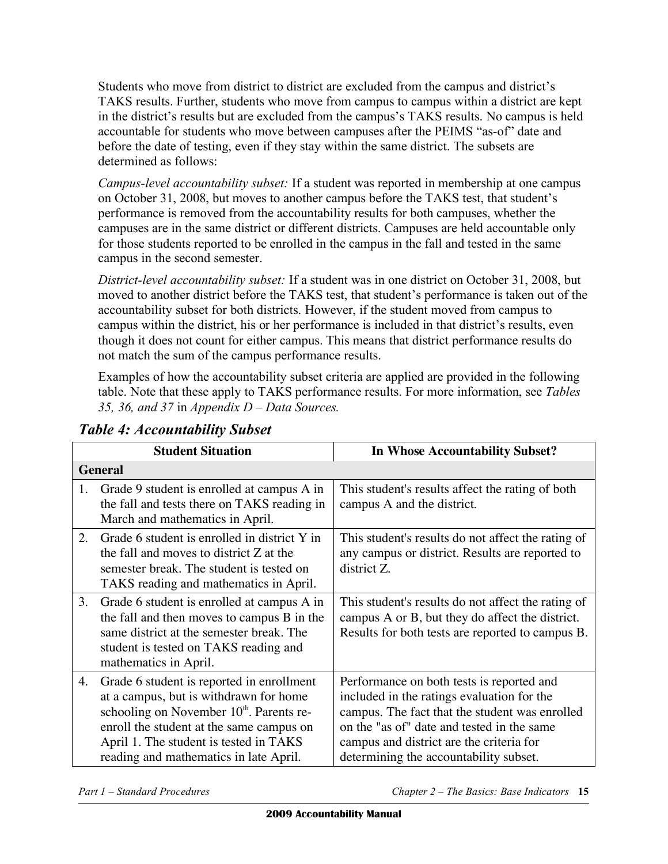Students who move from district to district are excluded from the campus and district's TAKS results. Further, students who move from campus to campus within a district are kept in the district's results but are excluded from the campus's TAKS results. No campus is held accountable for students who move between campuses after the PEIMS "as-of" date and before the date of testing, even if they stay within the same district. The subsets are determined as follows:

 *Campus-level accountability subset:* If a student was reported in membership at one campus on October 31, 2008, but moves to another campus before the TAKS test, that student's performance is removed from the accountability results for both campuses, whether the campuses are in the same district or different districts. Campuses are held accountable only for those students reported to be enrolled in the campus in the fall and tested in the same campus in the second semester.

 *District-level accountability subset:* If a student was in one district on October 31, 2008, but moved to another district before the TAKS test, that student's performance is taken out of the accountability subset for both districts. However, if the student moved from campus to campus within the district, his or her performance is included in that district's results, even though it does not count for either campus. This means that district performance results do not match the sum of the campus performance results.

 Examples of how the accountability subset criteria are applied are provided in the following table. Note that these apply to TAKS performance results. For more information, see *Tables 35, 36, and 37* in *Appendix D – Data Sources.* 

|    | <b>Student Situation</b>                                                                                                                                                                                                                                                    | <b>In Whose Accountability Subset?</b>                                                                                                                                                                                                                                        |  |
|----|-----------------------------------------------------------------------------------------------------------------------------------------------------------------------------------------------------------------------------------------------------------------------------|-------------------------------------------------------------------------------------------------------------------------------------------------------------------------------------------------------------------------------------------------------------------------------|--|
|    | <b>General</b>                                                                                                                                                                                                                                                              |                                                                                                                                                                                                                                                                               |  |
| 1. | Grade 9 student is enrolled at campus A in<br>the fall and tests there on TAKS reading in<br>March and mathematics in April.                                                                                                                                                | This student's results affect the rating of both<br>campus A and the district.                                                                                                                                                                                                |  |
| 2. | Grade 6 student is enrolled in district Y in<br>the fall and moves to district Z at the<br>semester break. The student is tested on<br>TAKS reading and mathematics in April.                                                                                               | This student's results do not affect the rating of<br>any campus or district. Results are reported to<br>district Z.                                                                                                                                                          |  |
| 3. | Grade 6 student is enrolled at campus A in<br>the fall and then moves to campus B in the<br>same district at the semester break. The<br>student is tested on TAKS reading and<br>mathematics in April.                                                                      | This student's results do not affect the rating of<br>campus A or B, but they do affect the district.<br>Results for both tests are reported to campus B.                                                                                                                     |  |
| 4. | Grade 6 student is reported in enrollment<br>at a campus, but is withdrawn for home<br>schooling on November 10 <sup>th</sup> . Parents re-<br>enroll the student at the same campus on<br>April 1. The student is tested in TAKS<br>reading and mathematics in late April. | Performance on both tests is reported and<br>included in the ratings evaluation for the<br>campus. The fact that the student was enrolled<br>on the "as of" date and tested in the same<br>campus and district are the criteria for<br>determining the accountability subset. |  |

# *Table 4: Accountability Subset*

**Part 1 – Standard Procedures**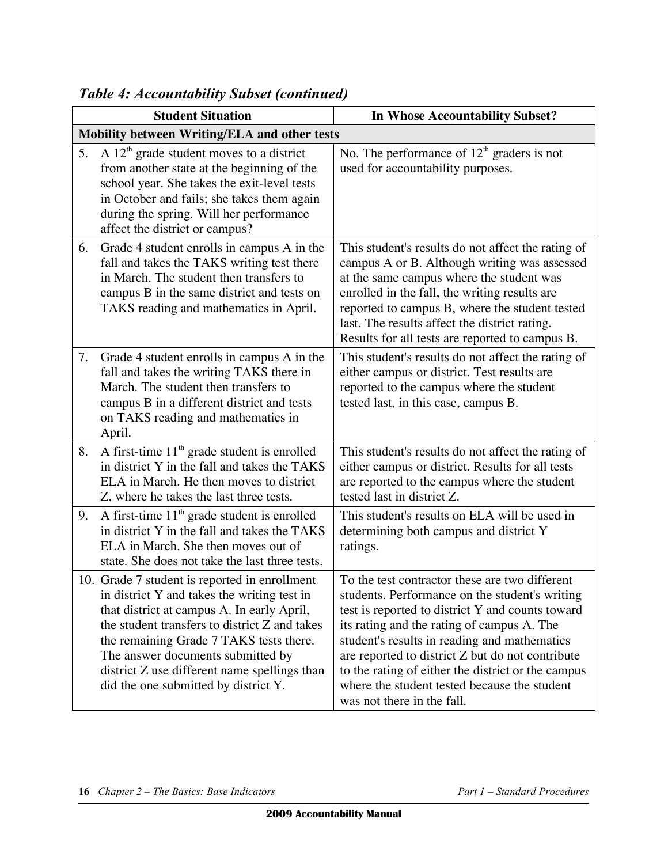|    | <b>Student Situation</b>                                                                                                                                                                                                                                                                                                                                            | <b>In Whose Accountability Subset?</b>                                                                                                                                                                                                                                                                                                                                                                                                     |  |
|----|---------------------------------------------------------------------------------------------------------------------------------------------------------------------------------------------------------------------------------------------------------------------------------------------------------------------------------------------------------------------|--------------------------------------------------------------------------------------------------------------------------------------------------------------------------------------------------------------------------------------------------------------------------------------------------------------------------------------------------------------------------------------------------------------------------------------------|--|
|    | Mobility between Writing/ELA and other tests                                                                                                                                                                                                                                                                                                                        |                                                                                                                                                                                                                                                                                                                                                                                                                                            |  |
| 5. | A $12th$ grade student moves to a district<br>from another state at the beginning of the<br>school year. She takes the exit-level tests<br>in October and fails; she takes them again<br>during the spring. Will her performance<br>affect the district or campus?                                                                                                  | No. The performance of $12th$ graders is not<br>used for accountability purposes.                                                                                                                                                                                                                                                                                                                                                          |  |
| 6. | Grade 4 student enrolls in campus A in the<br>fall and takes the TAKS writing test there<br>in March. The student then transfers to<br>campus B in the same district and tests on<br>TAKS reading and mathematics in April.                                                                                                                                         | This student's results do not affect the rating of<br>campus A or B. Although writing was assessed<br>at the same campus where the student was<br>enrolled in the fall, the writing results are<br>reported to campus B, where the student tested<br>last. The results affect the district rating.<br>Results for all tests are reported to campus B.                                                                                      |  |
| 7. | Grade 4 student enrolls in campus A in the<br>fall and takes the writing TAKS there in<br>March. The student then transfers to<br>campus B in a different district and tests<br>on TAKS reading and mathematics in<br>April.                                                                                                                                        | This student's results do not affect the rating of<br>either campus or district. Test results are<br>reported to the campus where the student<br>tested last, in this case, campus B.                                                                                                                                                                                                                                                      |  |
| 8. | A first-time $11th$ grade student is enrolled<br>in district Y in the fall and takes the TAKS<br>ELA in March. He then moves to district<br>Z, where he takes the last three tests.                                                                                                                                                                                 | This student's results do not affect the rating of<br>either campus or district. Results for all tests<br>are reported to the campus where the student<br>tested last in district Z.                                                                                                                                                                                                                                                       |  |
| 9. | A first-time $11th$ grade student is enrolled<br>in district Y in the fall and takes the TAKS<br>ELA in March. She then moves out of<br>state. She does not take the last three tests.                                                                                                                                                                              | This student's results on ELA will be used in<br>determining both campus and district Y<br>ratings.                                                                                                                                                                                                                                                                                                                                        |  |
|    | 10. Grade 7 student is reported in enrollment<br>in district Y and takes the writing test in<br>that district at campus A. In early April,<br>the student transfers to district Z and takes<br>the remaining Grade 7 TAKS tests there.<br>The answer documents submitted by<br>district Z use different name spellings than<br>did the one submitted by district Y. | To the test contractor these are two different<br>students. Performance on the student's writing<br>test is reported to district Y and counts toward<br>its rating and the rating of campus A. The<br>student's results in reading and mathematics<br>are reported to district Z but do not contribute<br>to the rating of either the district or the campus<br>where the student tested because the student<br>was not there in the fall. |  |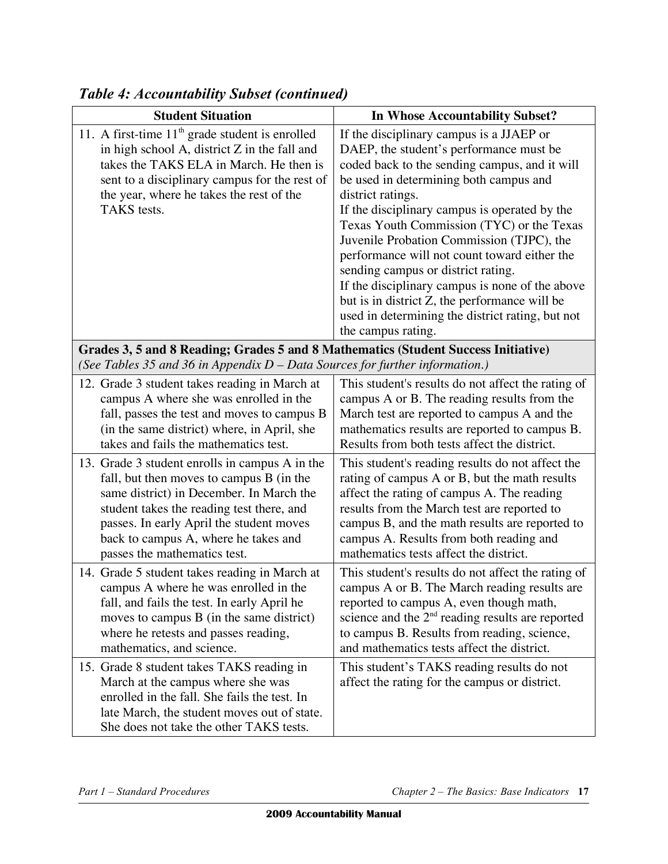| <b>Student Situation</b>                                                                                                                                                                                                                                                                                | In Whose Accountability Subset?                                                                                                                                                                                                                                                                                                                                                                                                                                                                                                                                                                                    |  |
|---------------------------------------------------------------------------------------------------------------------------------------------------------------------------------------------------------------------------------------------------------------------------------------------------------|--------------------------------------------------------------------------------------------------------------------------------------------------------------------------------------------------------------------------------------------------------------------------------------------------------------------------------------------------------------------------------------------------------------------------------------------------------------------------------------------------------------------------------------------------------------------------------------------------------------------|--|
| 11. A first-time $11th$ grade student is enrolled<br>in high school A, district $Z$ in the fall and<br>takes the TAKS ELA in March. He then is<br>sent to a disciplinary campus for the rest of<br>the year, where he takes the rest of the<br>TAKS tests.                                              | If the disciplinary campus is a JJAEP or<br>DAEP, the student's performance must be<br>coded back to the sending campus, and it will<br>be used in determining both campus and<br>district ratings.<br>If the disciplinary campus is operated by the<br>Texas Youth Commission (TYC) or the Texas<br>Juvenile Probation Commission (TJPC), the<br>performance will not count toward either the<br>sending campus or district rating.<br>If the disciplinary campus is none of the above<br>but is in district Z, the performance will be<br>used in determining the district rating, but not<br>the campus rating. |  |
| Grades 3, 5 and 8 Reading; Grades 5 and 8 Mathematics (Student Success Initiative)<br>(See Tables 35 and 36 in Appendix $D$ – Data Sources for further information.)                                                                                                                                    |                                                                                                                                                                                                                                                                                                                                                                                                                                                                                                                                                                                                                    |  |
| 12. Grade 3 student takes reading in March at<br>campus A where she was enrolled in the<br>fall, passes the test and moves to campus B<br>(in the same district) where, in April, she<br>takes and fails the mathematics test.                                                                          | This student's results do not affect the rating of<br>campus A or B. The reading results from the<br>March test are reported to campus A and the<br>mathematics results are reported to campus B.<br>Results from both tests affect the district.                                                                                                                                                                                                                                                                                                                                                                  |  |
| 13. Grade 3 student enrolls in campus A in the<br>fall, but then moves to campus B (in the<br>same district) in December. In March the<br>student takes the reading test there, and<br>passes. In early April the student moves<br>back to campus A, where he takes and<br>passes the mathematics test. | This student's reading results do not affect the<br>rating of campus A or B, but the math results<br>affect the rating of campus A. The reading<br>results from the March test are reported to<br>campus B, and the math results are reported to<br>campus A. Results from both reading and<br>mathematics tests affect the district.                                                                                                                                                                                                                                                                              |  |
| 14. Grade 5 student takes reading in March at<br>campus A where he was enrolled in the<br>fall, and fails the test. In early April he<br>moves to campus $B$ (in the same district)<br>where he retests and passes reading,<br>mathematics, and science.                                                | This student's results do not affect the rating of<br>campus A or B. The March reading results are<br>reported to campus A, even though math,<br>science and the $2nd$ reading results are reported<br>to campus B. Results from reading, science,<br>and mathematics tests affect the district.                                                                                                                                                                                                                                                                                                                   |  |
| 15. Grade 8 student takes TAKS reading in<br>March at the campus where she was<br>enrolled in the fall. She fails the test. In<br>late March, the student moves out of state.<br>She does not take the other TAKS tests.                                                                                | This student's TAKS reading results do not<br>affect the rating for the campus or district.                                                                                                                                                                                                                                                                                                                                                                                                                                                                                                                        |  |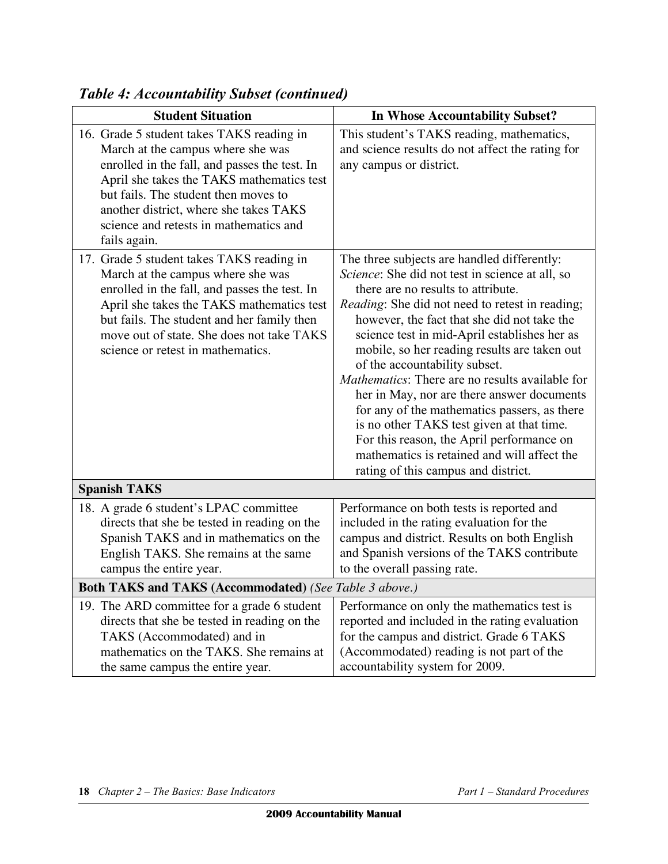| <b>Student Situation</b>                                                                                                                                                                                                                                                                                                 | In Whose Accountability Subset?                                                                                                                                                                                                                                                                                                                                                                                                                                                                                                                                                                                                                                                                                  |  |
|--------------------------------------------------------------------------------------------------------------------------------------------------------------------------------------------------------------------------------------------------------------------------------------------------------------------------|------------------------------------------------------------------------------------------------------------------------------------------------------------------------------------------------------------------------------------------------------------------------------------------------------------------------------------------------------------------------------------------------------------------------------------------------------------------------------------------------------------------------------------------------------------------------------------------------------------------------------------------------------------------------------------------------------------------|--|
| 16. Grade 5 student takes TAKS reading in<br>March at the campus where she was<br>enrolled in the fall, and passes the test. In<br>April she takes the TAKS mathematics test<br>but fails. The student then moves to<br>another district, where she takes TAKS<br>science and retests in mathematics and<br>fails again. | This student's TAKS reading, mathematics,<br>and science results do not affect the rating for<br>any campus or district.                                                                                                                                                                                                                                                                                                                                                                                                                                                                                                                                                                                         |  |
| 17. Grade 5 student takes TAKS reading in<br>March at the campus where she was<br>enrolled in the fall, and passes the test. In<br>April she takes the TAKS mathematics test<br>but fails. The student and her family then<br>move out of state. She does not take TAKS<br>science or retest in mathematics.             | The three subjects are handled differently:<br>Science: She did not test in science at all, so<br>there are no results to attribute.<br><i>Reading</i> : She did not need to retest in reading;<br>however, the fact that she did not take the<br>science test in mid-April establishes her as<br>mobile, so her reading results are taken out<br>of the accountability subset.<br>Mathematics: There are no results available for<br>her in May, nor are there answer documents<br>for any of the mathematics passers, as there<br>is no other TAKS test given at that time.<br>For this reason, the April performance on<br>mathematics is retained and will affect the<br>rating of this campus and district. |  |
| <b>Spanish TAKS</b>                                                                                                                                                                                                                                                                                                      |                                                                                                                                                                                                                                                                                                                                                                                                                                                                                                                                                                                                                                                                                                                  |  |
| 18. A grade 6 student's LPAC committee<br>directs that she be tested in reading on the<br>Spanish TAKS and in mathematics on the<br>English TAKS. She remains at the same<br>campus the entire year.                                                                                                                     | Performance on both tests is reported and<br>included in the rating evaluation for the<br>campus and district. Results on both English<br>and Spanish versions of the TAKS contribute<br>to the overall passing rate.                                                                                                                                                                                                                                                                                                                                                                                                                                                                                            |  |
| Both TAKS and TAKS (Accommodated) (See Table 3 above.)                                                                                                                                                                                                                                                                   |                                                                                                                                                                                                                                                                                                                                                                                                                                                                                                                                                                                                                                                                                                                  |  |
| 19. The ARD committee for a grade 6 student<br>directs that she be tested in reading on the<br>TAKS (Accommodated) and in<br>mathematics on the TAKS. She remains at<br>the same campus the entire year.                                                                                                                 | Performance on only the mathematics test is<br>reported and included in the rating evaluation<br>for the campus and district. Grade 6 TAKS<br>(Accommodated) reading is not part of the<br>accountability system for 2009.                                                                                                                                                                                                                                                                                                                                                                                                                                                                                       |  |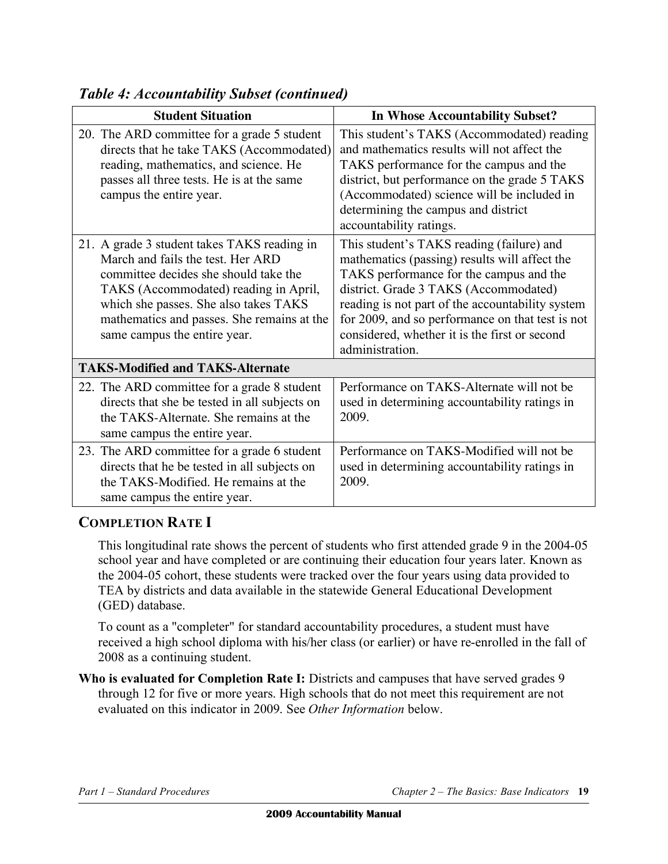| <b>Student Situation</b>                                                                                                                                                                                                                                                                  | In Whose Accountability Subset?                                                                                                                                                                                                                                                                                                                            |
|-------------------------------------------------------------------------------------------------------------------------------------------------------------------------------------------------------------------------------------------------------------------------------------------|------------------------------------------------------------------------------------------------------------------------------------------------------------------------------------------------------------------------------------------------------------------------------------------------------------------------------------------------------------|
| 20. The ARD committee for a grade 5 student<br>directs that he take TAKS (Accommodated)<br>reading, mathematics, and science. He<br>passes all three tests. He is at the same<br>campus the entire year.                                                                                  | This student's TAKS (Accommodated) reading<br>and mathematics results will not affect the<br>TAKS performance for the campus and the<br>district, but performance on the grade 5 TAKS<br>(Accommodated) science will be included in<br>determining the campus and district<br>accountability ratings.                                                      |
| 21. A grade 3 student takes TAKS reading in<br>March and fails the test. Her ARD<br>committee decides she should take the<br>TAKS (Accommodated) reading in April,<br>which she passes. She also takes TAKS<br>mathematics and passes. She remains at the<br>same campus the entire year. | This student's TAKS reading (failure) and<br>mathematics (passing) results will affect the<br>TAKS performance for the campus and the<br>district. Grade 3 TAKS (Accommodated)<br>reading is not part of the accountability system<br>for 2009, and so performance on that test is not<br>considered, whether it is the first or second<br>administration. |
| <b>TAKS-Modified and TAKS-Alternate</b>                                                                                                                                                                                                                                                   |                                                                                                                                                                                                                                                                                                                                                            |
| 22. The ARD committee for a grade 8 student<br>directs that she be tested in all subjects on<br>the TAKS-Alternate. She remains at the<br>same campus the entire year.                                                                                                                    | Performance on TAKS-Alternate will not be<br>used in determining accountability ratings in<br>2009.                                                                                                                                                                                                                                                        |
| 23. The ARD committee for a grade 6 student<br>directs that he be tested in all subjects on<br>the TAKS-Modified. He remains at the<br>same campus the entire year.                                                                                                                       | Performance on TAKS-Modified will not be<br>used in determining accountability ratings in<br>2009.                                                                                                                                                                                                                                                         |

### **COMPLETION RATE I**

 This longitudinal rate shows the percent of students who first attended grade 9 in the 2004-05 school year and have completed or are continuing their education four years later. Known as the 2004-05 cohort, these students were tracked over the four years using data provided to TEA by districts and data available in the statewide General Educational Development (GED) database.

 To count as a "completer" for standard accountability procedures, a student must have received a high school diploma with his/her class (or earlier) or have re-enrolled in the fall of 2008 as a continuing student.

 **Who is evaluated for Completion Rate I:** Districts and campuses that have served grades 9 through 12 for five or more years. High schools that do not meet this requirement are not evaluated on this indicator in 2009. See *Other Information* below.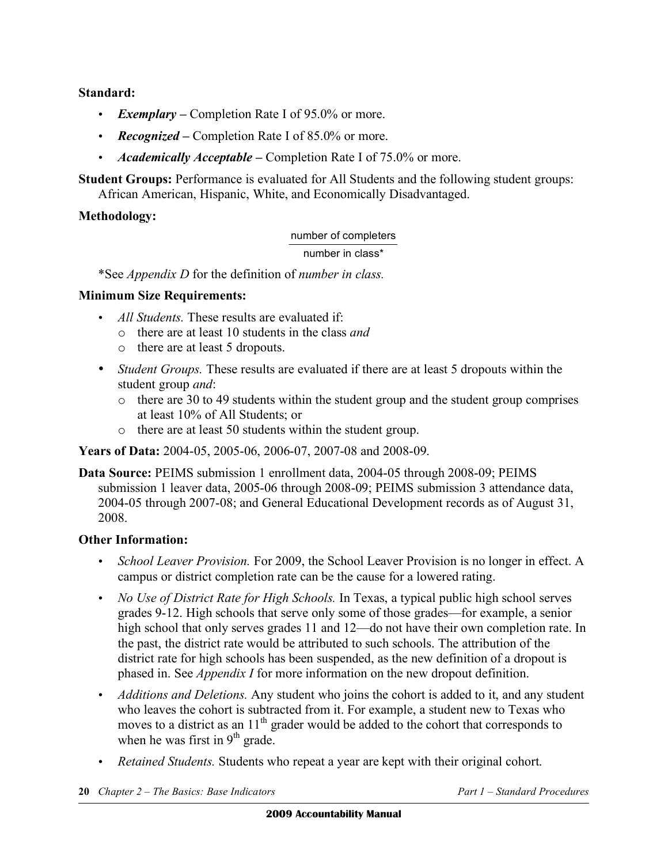**Standard:** 

- *Exemplary –* Completion Rate I of 95.0% or more.
- *Recognized Completion Rate I of 85.0% or more.*
- *Academically Acceptable –* Completion Rate I of 75.0% or more.

**Student Groups:** Performance is evaluated for All Students and the following student groups:

African American, Hispanic, White, and Economically Disadvantaged.

### **Methodology:**

#### number of completers

number in class\*

\*See *Appendix D* for the definition of *number in class.* 

### **Minimum Size Requirements:**

- *All Students.* These results are evaluated if:
	- o there are at least 10 students in the class *and*
	- o there are at least 5 dropouts.
- *Student Groups.* These results are evaluated if there are at least 5 dropouts within the student group *and*:
	- $\circ$  there are 30 to 49 students within the student group and the student group comprises at least 10% of All Students; or
	- o there are at least 50 students within the student group.

**Years of Data:** 2004-05, 2005-06, 2006-07, 2007-08 and 2008-09.

**Data Source:** PEIMS submission 1 enrollment data, 2004-05 through 2008-09; PEIMS submission 1 leaver data, 2005-06 through 2008-09; PEIMS submission 3 attendance data, 2004-05 through 2007-08; and General Educational Development records as of August 31, 2008.

### **Other Information:**

- *School Leaver Provision.* For 2009, the School Leaver Provision is no longer in effect. A campus or district completion rate can be the cause for a lowered rating.
- *No Use of District Rate for High Schools*. In Texas, a typical public high school serves grades 9-12. High schools that serve only some of those grades—for example, a senior high school that only serves grades 11 and 12—do not have their own completion rate. In the past, the district rate would be attributed to such schools. The attribution of the district rate for high schools has been suspended, as the new definition of a dropout is phased in. See *Appendix I* for more information on the new dropout definition.
- *Additions and Deletions.* Any student who joins the cohort is added to it, and any student who leaves the cohort is subtracted from it. For example, a student new to Texas who moves to a district as an  $11<sup>th</sup>$  grader would be added to the cohort that corresponds to when he was first in  $9<sup>th</sup>$  grade.
- • *Retained Students.* Students who repeat a year are kept with their original cohort.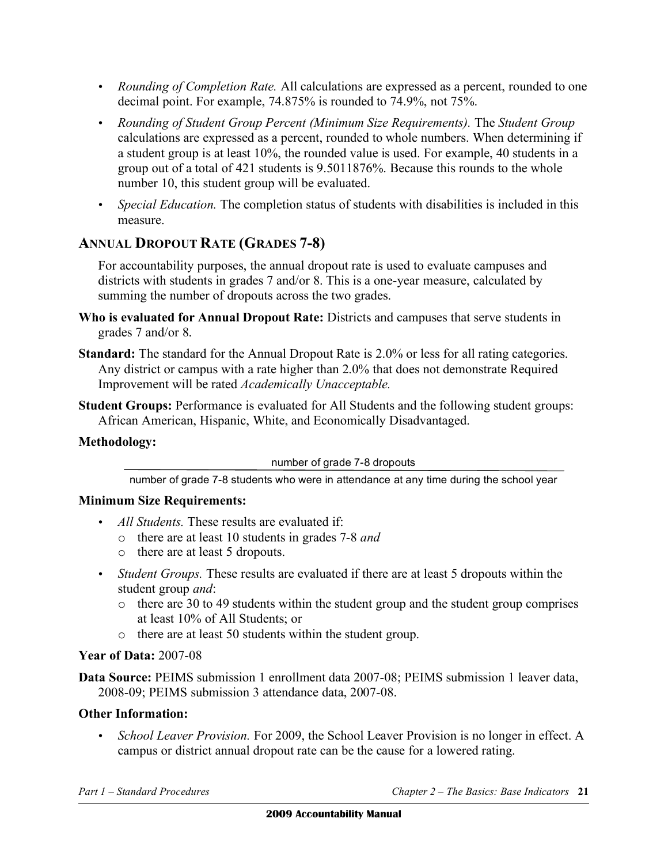- • *Rounding of Completion Rate.* All calculations are expressed as a percent, rounded to one decimal point. For example, 74.875% is rounded to 74.9%, not 75%.
- • *Rounding of Student Group Percent (Minimum Size Requirements).* The *Student Group*  calculations are expressed as a percent, rounded to whole numbers. When determining if a student group is at least 10%, the rounded value is used. For example, 40 students in a group out of a total of 421 students is 9.5011876%. Because this rounds to the whole number 10, this student group will be evaluated.
- *Special Education*. The completion status of students with disabilities is included in this measure.

### **ANNUAL DROPOUT RATE (GRADES 7-8)**

For accountability purposes, the annual dropout rate is used to evaluate campuses and districts with students in grades 7 and/or 8. This is a one-year measure, calculated by summing the number of dropouts across the two grades.

- **Who is evaluated for Annual Dropout Rate:** Districts and campuses that serve students in grades 7 and/or 8.
- **Standard:** The standard for the Annual Dropout Rate is 2.0% or less for all rating categories. Any district or campus with a rate higher than 2.0% that does not demonstrate Required Improvement will be rated *Academically Unacceptable.*
- **Student Groups:** Performance is evaluated for All Students and the following student groups: African American, Hispanic, White, and Economically Disadvantaged.

### **Methodology:**

number of grade 7-8 dropouts

number of grade 7-8 students who were in attendance at any time during the school year

### **Minimum Size Requirements:**

- • *All Students.* These results are evaluated if:
	- o there are at least 10 students in grades 7-8 *and*
	- o there are at least 5 dropouts.
- • *Student Groups.* These results are evaluated if there are at least 5 dropouts within the student group *and*:
	- $\circ$  there are 30 to 49 students within the student group and the student group comprises at least 10% of All Students; or
	- o there are at least 50 students within the student group.

### **Year of Data:** 2007-08

**Data Source:** PEIMS submission 1 enrollment data 2007-08; PEIMS submission 1 leaver data, 2008-09; PEIMS submission 3 attendance data, 2007-08.

### **Other Information:**

• *School Leaver Provision.* For 2009, the School Leaver Provision is no longer in effect. A campus or district annual dropout rate can be the cause for a lowered rating.